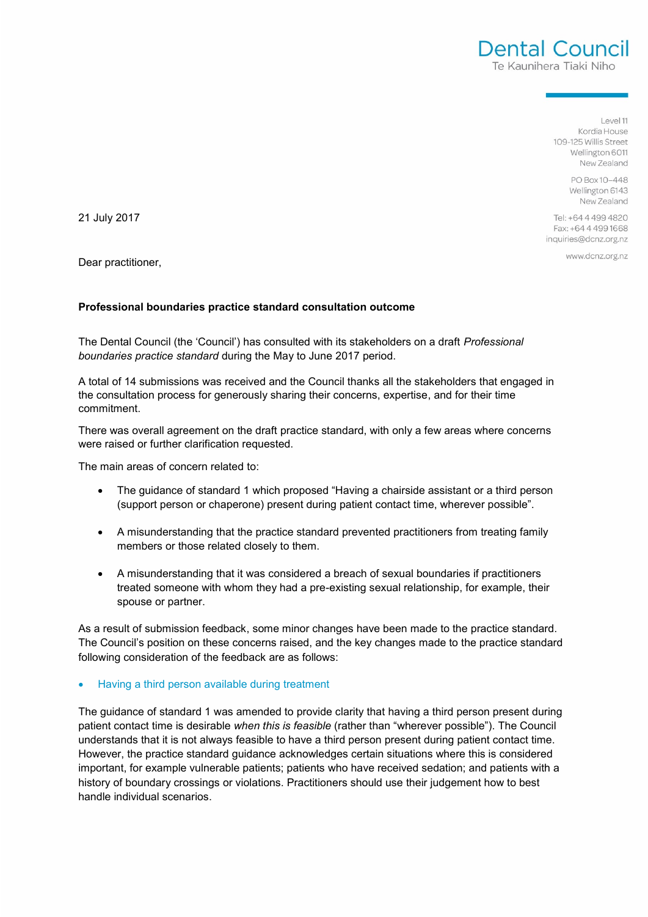$|P(A|)|$ Kordia House 109-125 Willis Street Wellington 6011 New Zealand

Dental Council Te Kaunihera Tiaki Niho

> PO Box 10-448 Wellington 6143 New Zealand

Tel: +64 4 499 4820 Fax: +64 4 499 1668 inquiries@dcnz.org.nz

www.dcnz.org.nz

21 July 2017

Dear practitioner,

### **Professional boundaries practice standard consultation outcome**

The Dental Council (the 'Council') has consulted with its stakeholders on a draft *Professional boundaries practice standard* during the May to June 2017 period.

A total of 14 submissions was received and the Council thanks all the stakeholders that engaged in the consultation process for generously sharing their concerns, expertise, and for their time commitment.

There was overall agreement on the draft practice standard, with only a few areas where concerns were raised or further clarification requested.

The main areas of concern related to:

- The quidance of standard 1 which proposed "Having a chairside assistant or a third person (support person or chaperone) present during patient contact time, wherever possible".
- A misunderstanding that the practice standard prevented practitioners from treating family members or those related closely to them.
- A misunderstanding that it was considered a breach of sexual boundaries if practitioners treated someone with whom they had a pre-existing sexual relationship, for example, their spouse or partner.

As a result of submission feedback, some minor changes have been made to the practice standard. The Council's position on these concerns raised, and the key changes made to the practice standard following consideration of the feedback are as follows:

### Having a third person available during treatment

The guidance of standard 1 was amended to provide clarity that having a third person present during patient contact time is desirable *when this is feasible* (rather than "wherever possible"). The Council understands that it is not always feasible to have a third person present during patient contact time. However, the practice standard guidance acknowledges certain situations where this is considered important, for example vulnerable patients; patients who have received sedation; and patients with a history of boundary crossings or violations. Practitioners should use their judgement how to best handle individual scenarios.